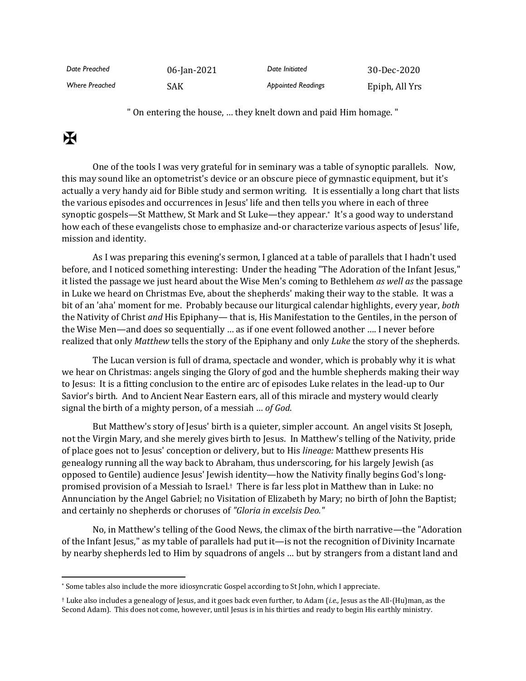| Date Preached         | 06-Jan-2021 | Date Initiated            | 30-Dec-2020    |
|-----------------------|-------------|---------------------------|----------------|
| <b>Where Preached</b> | SAK         | <b>Appointed Readings</b> | Epiph, All Yrs |

" On entering the house, … they knelt down and paid Him homage. "

## $\mathbf K$

One of the tools I was very grateful for in seminary was a table of synoptic parallels. Now, this may sound like an optometrist's device or an obscure piece of gymnastic equipment, but it's actually a very handy aid for Bible study and sermon writing. It is essentially a long chart that lists the various episodes and occurrences in Jesus' life and then tells you where in each of three synoptic gospels—St Matthew, St Mark and St Luke—they appear. \* It's a good way to understand how each of these evangelists chose to emphasize and-or characterize various aspects of Jesus' life, mission and identity.

As I was preparing this evening's sermon, I glanced at a table of parallels that I hadn't used before, and I noticed something interesting: Under the heading "The Adoration of the Infant Jesus," it listed the passage we just heard about the Wise Men's coming to Bethlehem *as well as* the passage in Luke we heard on Christmas Eve, about the shepherds' making their way to the stable. It was a bit of an 'aha' moment for me. Probably because our liturgical calendar highlights, every year, *both* the Nativity of Christ *and* His Epiphany— that is, His Manifestation to the Gentiles, in the person of the Wise Men—and does so sequentially … as if one event followed another …. I never before realized that only *Matthew* tells the story of the Epiphany and only *Luke* the story of the shepherds.

The Lucan version is full of drama, spectacle and wonder, which is probably why it is what we hear on Christmas: angels singing the Glory of god and the humble shepherds making their way to Jesus: It is a fitting conclusion to the entire arc of episodes Luke relates in the lead-up to Our Savior's birth. And to Ancient Near Eastern ears, all of this miracle and mystery would clearly signal the birth of a mighty person, of a messiah … *of God*.

But Matthew's story of Jesus' birth is a quieter, simpler account. An angel visits St Joseph, not the Virgin Mary, and she merely gives birth to Jesus. In Matthew's telling of the Nativity, pride of place goes not to Jesus' conception or delivery, but to His *lineage:* Matthew presents His genealogy running all the way back to Abraham, thus underscoring, for his largely Jewish (as opposed to Gentile) audience Jesus' Jewish identity—how the Nativity finally begins God's longpromised provision of a Messiah to Israel.† There is far less plot in Matthew than in Luke: no Annunciation by the Angel Gabriel; no Visitation of Elizabeth by Mary; no birth of John the Baptist; and certainly no shepherds or choruses of *"Gloria in excelsis Deo."*

No, in Matthew's telling of the Good News, the climax of the birth narrative—the "Adoration of the Infant Jesus," as my table of parallels had put it—is not the recognition of Divinity Incarnate by nearby shepherds led to Him by squadrons of angels … but by strangers from a distant land and

<sup>\*</sup> Some tables also include the more idiosyncratic Gospel according to St John, which I appreciate.

<sup>†</sup> Luke also includes a genealogy of Jesus, and it goes back even further, to Adam (*i.e.,* Jesus as the All-(Hu)man, as the Second Adam). This does not come, however, until Jesus is in his thirties and ready to begin His earthly ministry.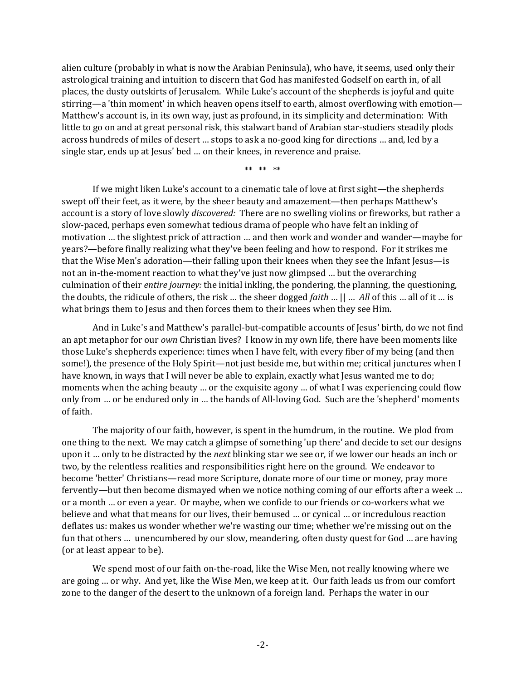alien culture (probably in what is now the Arabian Peninsula), who have, it seems, used only their astrological training and intuition to discern that God has manifested Godself on earth in, of all places, the dusty outskirts of Jerusalem. While Luke's account of the shepherds is joyful and quite stirring—a 'thin moment' in which heaven opens itself to earth, almost overflowing with emotion— Matthew's account is, in its own way, just as profound, in its simplicity and determination: With little to go on and at great personal risk, this stalwart band of Arabian star-studiers steadily plods across hundreds of miles of desert … stops to ask a no-good king for directions … and, led by a single star, ends up at Jesus' bed … on their knees, in reverence and praise.

\*\* \*\* \*\*

If we might liken Luke's account to a cinematic tale of love at first sight—the shepherds swept off their feet, as it were, by the sheer beauty and amazement—then perhaps Matthew's account is a story of love slowly *discovered:* There are no swelling violins or fireworks, but rather a slow-paced, perhaps even somewhat tedious drama of people who have felt an inkling of motivation … the slightest prick of attraction … and then work and wonder and wander—maybe for years?—before finally realizing what they've been feeling and how to respond. For it strikes me that the Wise Men's adoration—their falling upon their knees when they see the Infant Jesus—is not an in-the-moment reaction to what they've just now glimpsed … but the overarching culmination of their *entire journey:* the initial inkling, the pondering, the planning, the questioning, the doubts, the ridicule of others, the risk … the sheer dogged *faith* … || … *All* of this … all of it … is what brings them to Jesus and then forces them to their knees when they see Him.

And in Luke's and Matthew's parallel-but-compatible accounts of Jesus' birth, do we not find an apt metaphor for our *own* Christian lives? I know in my own life, there have been moments like those Luke's shepherds experience: times when I have felt, with every fiber of my being (and then some!), the presence of the Holy Spirit—not just beside me, but within me; critical junctures when I have known, in ways that I will never be able to explain, exactly what Jesus wanted me to do; moments when the aching beauty … or the exquisite agony … of what I was experiencing could flow only from … or be endured only in … the hands of All-loving God. Such are the 'shepherd' moments of faith.

The majority of our faith, however, is spent in the humdrum, in the routine. We plod from one thing to the next. We may catch a glimpse of something 'up there' and decide to set our designs upon it … only to be distracted by the *next* blinking star we see or, if we lower our heads an inch or two, by the relentless realities and responsibilities right here on the ground. We endeavor to become 'better' Christians—read more Scripture, donate more of our time or money, pray more fervently—but then become dismayed when we notice nothing coming of our efforts after a week … or a month … or even a year. Or maybe, when we confide to our friends or co-workers what we believe and what that means for our lives, their bemused … or cynical … or incredulous reaction deflates us: makes us wonder whether we're wasting our time; whether we're missing out on the fun that others … unencumbered by our slow, meandering, often dusty quest for God … are having (or at least appear to be).

We spend most of our faith on-the-road, like the Wise Men, not really knowing where we are going … or why. And yet, like the Wise Men, we keep at it. Our faith leads us from our comfort zone to the danger of the desert to the unknown of a foreign land. Perhaps the water in our